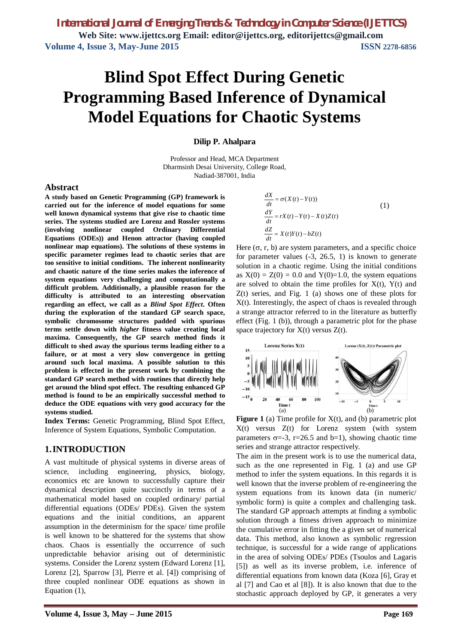# **Blind Spot Effect During Genetic Programming Based Inference of Dynamical Model Equations for Chaotic Systems**

**Dilip P. Ahalpara**

Professor and Head, MCA Department Dharmsinh Desai University, College Road, Nadiad-387001, India

#### **Abstract**

**A study based on Genetic Programming (GP) framework is carried out for the inference of model equations for some well known dynamical systems that give rise to chaotic time series. The systems studied are Lorenz and Rossler systems (involving nonlinear coupled Ordinary Differential Equations (ODEs)) and Henon attractor (having coupled nonlinear map equations). The solutions of these systems in specific parameter regimes lead to chaotic series that are too sensitive to initial conditions. The inherent nonlinearity and chaotic nature of the time series makes the inference of system equations very challenging and computationally a difficult problem. Additionally, a plausible reason for the difficulty is attributed to an interesting observation regarding an effect, we call as a** *Blind Spot Effect***. Often during the exploration of the standard GP search space, symbolic chromosome structures padded with spurious terms settle down with** *higher* **fitness value creating local maxima. Consequently, the GP search method finds it difficult to shed away the spurious terms leading either to a failure, or at most a very slow convergence in getting around such local maxima. A possible solution to this problem is effected in the present work by combining the standard GP search method with routines that directly help get around the blind spot effect. The resulting enhanced GP method is found to be an empirically successful method to deduce the ODE equations with very good accuracy for the systems studied.**

**Index Terms:** Genetic Programming, Blind Spot Effect, Inference of System Equations, Symbolic Computation.

## **1.INTRODUCTION**

A vast multitude of physical systems in diverse areas of science, including engineering, physics, biology, economics etc are known to successfully capture their dynamical description quite succinctly in terms of a mathematical model based on coupled ordinary/ partial differential equations (ODEs/ PDEs). Given the system equations and the initial conditions, an apparent assumption in the determinism for the space/ time profile is well known to be shattered for the systems that show chaos. Chaos is essentially the occurrence of such unpredictable behavior arising out of deterministic systems. Consider the Lorenz system (Edward Lorenz [1], Lorenz [2], Sparrow [3], Pierre et al. [4]) comprising of three coupled nonlinear ODE equations as shown in Equation (1),

$$
\frac{dX}{dt} = \sigma(X(t) - Y(t))
$$
\n(1)  
\n
$$
\frac{dY}{dt} = rX(t) - Y(t) - X(t)Z(t)
$$
\n
$$
\frac{dZ}{dt} = X(t)Y(t) - bZ(t)
$$
\n5, r, b) are system parameters, and a specific

Here  $(\sigma, r, b)$  are system parameters, and a specific choice for parameter values (-3, 26.5, 1) is known to generate solution in a chaotic regime. Using the initial conditions as  $X(0) = Z(0) = 0.0$  and  $Y(0)=1.0$ , the system equations are solved to obtain the time profiles for  $X(t)$ ,  $Y(t)$  and Z(t) series, and Fig. 1 (a) shows one of these plots for X(t). Interestingly, the aspect of chaos is revealed through a strange attractor referred to in the literature as butterfly effect (Fig. 1 (b)), through a parametric plot for the phase space trajectory for  $X(t)$  versus  $Z(t)$ .



**Figure 1** (a) Time profile for  $X(t)$ , and (b) parametric plot X(t) versus Z(t) for Lorenz system (with system parameters  $\sigma = -3$ , r=26.5 and b=1), showing chaotic time series and strange attractor respectively.

The aim in the present work is to use the numerical data, such as the one represented in Fig. 1 (a) and use GP method to infer the system equations. In this regards it is well known that the inverse problem of re-engineering the system equations from its known data (in numeric/ symbolic form) is quite a complex and challenging task. The standard GP approach attempts at finding a symbolic solution through a fitness driven approach to minimize the cumulative error in fitting the a given set of numerical data. This method, also known as symbolic regression technique, is successful for a wide range of applications in the area of solving ODEs/ PDEs (Tsoulos and Lagaris [5]) as well as its inverse problem, i.e. inference of differential equations from known data (Koza [6], Gray et al [7] and Cao et al [8]). It is also known that due to the stochastic approach deployed by GP, it generates a very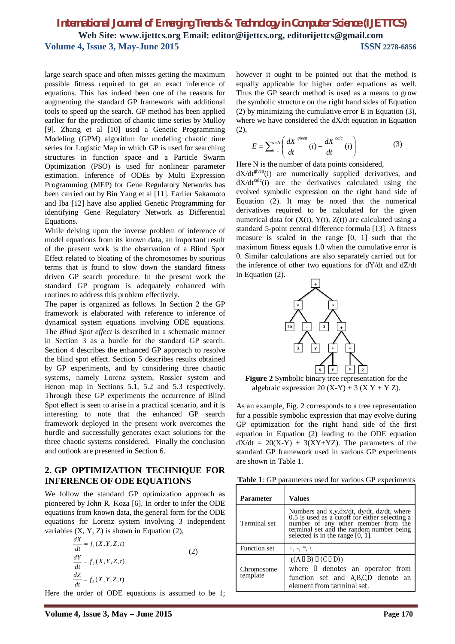large search space and often misses getting the maximum possible fitness required to get an exact inference of equations. This has indeed been one of the reasons for augmenting the standard GP framework with additional tools to speed up the search. GP method has been applied earlier for the prediction of chaotic time series by Mulloy [9]. Zhang et al [10] used a Genetic Programming Modeling (GPM) algorithm for modeling chaotic time series for Logistic Map in which GP is used for searching structures in function space and a Particle Swarm Optimization (PSO) is used for nonlinear parameter estimation. Inference of ODEs by Multi Expression Programming (MEP) for Gene Regulatory Networks has been carried out by Bin Yang et al [11]. Earlier Sakamoto and Iba [12] have also applied Genetic Programming for identifying Gene Regulatory Network as Differential Equations.

While delving upon the inverse problem of inference of model equations from its known data, an important result of the present work is the observation of a Blind Spot Effect related to bloating of the chromosomes by spurious terms that is found to slow down the standard fitness driven GP search procedure. In the present work the standard GP program is adequately enhanced with routines to address this problem effectively.

The paper is organized as follows. In Section 2 the GP framework is elaborated with reference to inference of dynamical system equations involving ODE equations. The *Blind Spot effect* is described in a schematic manner in Section 3 as a hurdle for the standard GP search. Section 4 describes the enhanced GP approach to resolve the blind spot effect. Section 5 describes results obtained by GP experiments, and by considering three chaotic systems, namely Lorenz system, Rossler system and Henon map in Sections 5.1, 5.2 and 5.3 respectively. Through these GP experiments the occurrence of Blind Spot effect is seen to arise in a practical scenario, and it is interesting to note that the enhanced GP search framework deployed in the present work overcomes the hurdle and successfully generates exact solutions for the three chaotic systems considered. Finally the conclusion and outlook are presented in Section 6.

## **2. GP OPTIMIZATION TECHNIQUE FOR INFERENCE OF ODE EQUATIONS**

We follow the standard GP optimization approach as pioneered by John R. Koza [6]. In order to infer the ODE equations from known data, the general form for the ODE equations for Lorenz system involving 3 independent variables  $(X, Y, Z)$  is shown in Equation  $(2)$ ,

$$
\frac{dX}{dt} = f_1(X, Y, Z, t)
$$
\n
$$
\frac{dY}{dt} = f_2(X, Y, Z, t)
$$
\n
$$
\frac{dZ}{dt} = f_3(X, Y, Z, t)
$$
\n(2)

Here the order of ODE equations is assumed to be 1;

however it ought to be pointed out that the method is equally applicable for higher order equations as well. Thus the GP search method is used as a means to grow the symbolic structure on the right hand sides of Equation (2) by minimizing the cumulative error E in Equation (3), where we have considered the dX/dt equation in Equation (2),

$$
E = \sum_{i=1}^{i=N} \left( \frac{dX}{dt}^{given} (i) - \frac{dX}{dt}^{calc} (i) \right)
$$
 (3)

Here N is the number of data points considered,

 $dX/dt^{given}$ (i) are numerically supplied derivatives, and  $dX/dt^{calc}(i)$  are the derivatives calculated using the evolved symbolic expression on the right hand side of Equation (2). It may be noted that the numerical derivatives required to be calculated for the given numerical data for  $(X(t), Y(t), Z(t))$  are calculated using a standard 5-point central difference formula [13]. A fitness measure is scaled in the range [0, 1] such that the maximum fitness equals 1.0 when the cumulative error is 0. Similar calculations are also separately carried out for the inference of other two equations for dY/dt and dZ/dt in Equation (2).



**Figure 2** Symbolic binary tree representation for the algebraic expression 20  $(X-Y)$  + 3  $(X Y + Y Z)$ .

As an example, Fig. 2 corresponds to a tree representation for a possible symbolic expression that may evolve during GP optimization for the right hand side of the first equation in Equation (2) leading to the ODE equation  $dX/dt = 20(X-Y) + 3(XY+YZ)$ . The parameters of the standard GP framework used in various GP experiments are shown in Table 1.

**Table 1**: GP parameters used for various GP experiments

| Parameter              | Values                                                                                                                                                                                                                 |  |  |
|------------------------|------------------------------------------------------------------------------------------------------------------------------------------------------------------------------------------------------------------------|--|--|
| Terminal set           | Numbers and x,y,dx/dt, dy/dt, dz/dt, where<br>0.5 is used as a cutoff for either selecting a<br>number of any other member from the<br>terminal set and the random number being<br>selected is in the range $[0, 1]$ . |  |  |
| Function set           | $+, *$ $\backslash$                                                                                                                                                                                                    |  |  |
| Chromosome<br>template | $((A \square B) \square (C \square D))$<br>where II denotes an operator from<br>function set and A,B,C,D denote an<br>element from terminal set.                                                                       |  |  |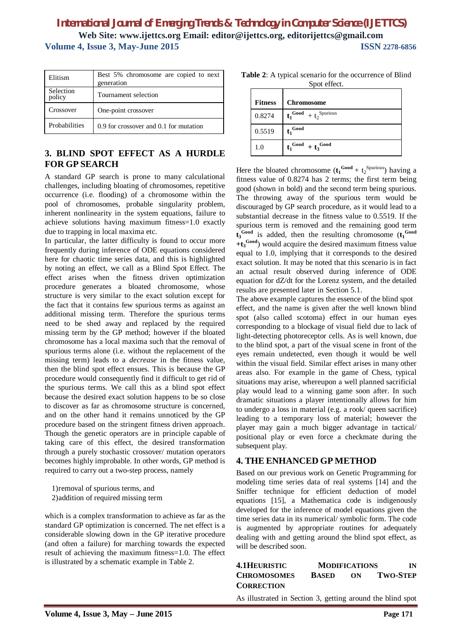| Elitism             | Best 5% chromosome are copied to next<br>generation |  |  |
|---------------------|-----------------------------------------------------|--|--|
| Selection<br>policy | Tournament selection                                |  |  |
| Crossover           | One-point crossover                                 |  |  |
| Probabilities       | 0.9 for crossover and 0.1 for mutation              |  |  |

# **3. BLIND SPOT EFFECT AS A HURDLE FOR GP SEARCH**

A standard GP search is prone to many calculational challenges, including bloating of chromosomes, repetitive occurrence (i.e. flooding) of a chromosome within the pool of chromosomes, probable singularity problem, inherent nonlinearity in the system equations, failure to achieve solutions having maximum fitness=1.0 exactly due to trapping in local maxima etc.

In particular, the latter difficulty is found to occur more frequently during inference of ODE equations considered here for chaotic time series data, and this is highlighted by noting an effect, we call as a Blind Spot Effect. The effect arises when the fitness driven optimization procedure generates a bloated chromosome, whose structure is very similar to the exact solution except for the fact that it contains few spurious terms as against an additional missing term. Therefore the spurious terms need to be shed away and replaced by the required missing term by the GP method; however if the bloated chromosome has a local maxima such that the removal of spurious terms alone (i.e. without the replacement of the missing term) leads to a *decrease* in the fitness value, then the blind spot effect ensues. This is because the GP procedure would consequently find it difficult to get rid of the spurious terms. We call this as a blind spot effect because the desired exact solution happens to be so close to discover as far as chromosome structure is concerned, and on the other hand it remains unnoticed by the GP procedure based on the stringent fitness driven approach. Though the genetic operators are in principle capable of taking care of this effect, the desired transformation through a purely stochastic crossover/ mutation operators becomes highly improbable. In other words, GP method is required to carry out a two-step process, namely

1)removal of spurious terms, and 2)addition of required missing term

which is a complex transformation to achieve as far as the standard GP optimization is concerned. The net effect is a considerable slowing down in the GP iterative procedure (and often a failure) for marching towards the expected result of achieving the maximum fitness=1.0. The effect is illustrated by a schematic example in Table 2.

|              | <b>Table 2:</b> A typical scenario for the occurrence of Blind |
|--------------|----------------------------------------------------------------|
| Spot effect. |                                                                |

| <b>Fitness</b> | <b>Chromosome</b>                           |
|----------------|---------------------------------------------|
| 0.8274         | $t_1^{\text{Good}} + t_2^{\text{Spurious}}$ |
| 0.5519         | $t_1$ Good                                  |
| 1.0            | $t_1^{\text{Good}} + t_3^{\text{Good}}$     |

Here the bloated chromosome  $(t_1^{\text{Good}} + t_2^{\text{Spurious}})$  having a fitness value of 0.8274 has 2 terms; the first term being good (shown in bold) and the second term being spurious. The throwing away of the spurious term would be discouraged by GP search procedure, as it would lead to a substantial decrease in the fitness value to 0.5519. If the spurious term is removed and the remaining good term  $t_3^{\text{Good}}$  is added, then the resulting chromosome  $(t_1^{\text{Good}})$ **+t<sup>3</sup> Good**) would acquire the desired maximum fitness value equal to 1.0, implying that it corresponds to the desired exact solution. It may be noted that this scenario is in fact an actual result observed during inference of ODE equation for dZ/dt for the Lorenz system, and the detailed results are presented later in Section 5.1.

The above example captures the essence of the blind spot effect, and the name is given after the well known blind spot (also called scotoma) effect in our human eyes corresponding to a blockage of visual field due to lack of light-detecting photoreceptor cells. As is well known, due to the blind spot, a part of the visual scene in front of the eyes remain undetected, even though it would be well within the visual field. Similar effect arises in many other areas also. For example in the game of Chess, typical situations may arise, whereupon a well planned sacrificial play would lead to a winning game soon after. In such dramatic situations a player intentionally allows for him to undergo a loss in material (e.g. a rook/ queen sacrifice) leading to a temporary loss of material; however the player may gain a much bigger advantage in tactical/ positional play or even force a checkmate during the subsequent play.

## **4. THE ENHANCED GP METHOD**

Based on our previous work on Genetic Programming for modeling time series data of real systems [14] and the Sniffer technique for efficient deduction of model equations [15], a Mathematica code is indigenously developed for the inference of model equations given the time series data in its numerical/ symbolic form. The code is augmented by appropriate routines for adequately dealing with and getting around the blind spot effect, as will be described soon.

| <b>4.1HEURISTIC</b> |              | <b>MODIFICATIONS</b> | IN              |
|---------------------|--------------|----------------------|-----------------|
| <b>CHROMOSOMES</b>  | <b>BASED</b> | OΝ                   | <b>TWO-STEP</b> |
| <b>CORRECTION</b>   |              |                      |                 |

As illustrated in Section 3, getting around the blind spot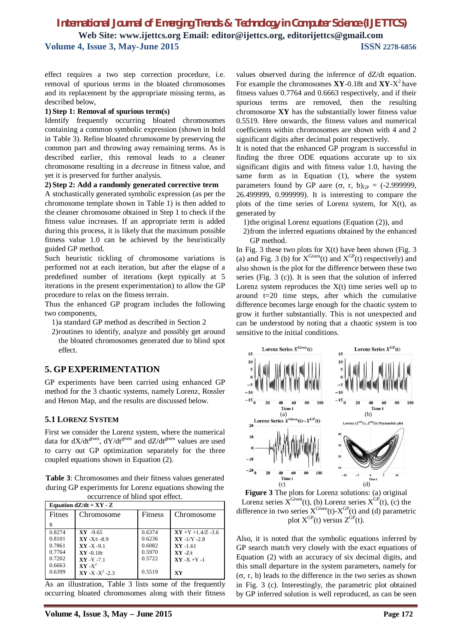effect requires a two step correction procedure, i.e. removal of spurious terms in the bloated chromosomes and its replacement by the appropriate missing terms, as described below,

#### **1) Step 1: Removal of spurious term(s)**

Identify frequently occurring bloated chromosomes containing a common symbolic expression (shown in bold in Table 3). Refine bloated chromosome by preserving the common part and throwing away remaining terms. As is described earlier, this removal leads to a cleaner chromosome resulting in a *decrease* in fitness value, and yet it is preserved for further analysis.

#### **2) Step 2: Add a randomly generated corrective term**

A stochastically generated symbolic expression (as per the chromosome template shown in Table 1) is then added to the cleaner chromosome obtained in Step 1 to check if the fitness value increases. If an appropriate term is added during this process, it is likely that the maximum possible fitness value 1.0 can be achieved by the heuristically guided GP method.

Such heuristic tickling of chromosome variations is performed not at each iteration, but after the elapse of a predefined number of iterations (kept typically at 5 iterations in the present experimentation) to allow the GP procedure to relax on the fitness terrain.

Thus the enhanced GP program includes the following two components,

1)a standard GP method as described in Section 2

2)routines to identify, analyze and possibly get around the bloated chromosomes generated due to blind spot effect.

## **5. GP EXPERIMENTATION**

GP experiments have been carried using enhanced GP method for the 3 chaotic systems, namely Lorenz, Rossler and Henon Map, and the results are discussed below.

## **5.1 LORENZ SYSTEM**

First we consider the Lorenz system, where the numerical data for  $dX/dt^{given}$ ,  $dY/dt^{given}$  and  $dZ/dt^{given}$  values are used to carry out GP optimization separately for the three coupled equations shown in Equation (2).

**Table 3**: Chromosomes and their fitness values generated during GP experiments for Lorenz equations showing the occurrence of blind spot effect.

| Equation $dZ/dt = XY - Z$ |                     |                |                        |
|---------------------------|---------------------|----------------|------------------------|
| Fitnes                    | Chromosome          | <b>Fitness</b> | Chromosome             |
| s                         |                     |                |                        |
| 0.8274                    | $XY -9.65$          | 0.6374         | $XY + Y + 1.4/Z - 3.6$ |
| 0.8101                    | $XY - X/t - 8.9$    | 0.6236         | $XY -1/Y -2.8$         |
| 0.7861                    | $XY - X - 9.1$      | 0.6082         | $XY -161$              |
| 0.7764                    | $XY -0.18t$         | 0.5970         | $XY - Z/t$             |
| 0.7202                    | $XY -Y -7.1$        | 0.5722         | $XY - X + Y - 1$       |
| 0.6663                    | $XY - X^2$          |                |                        |
| 0.6399                    | $XY - X - X^2 - 23$ | 0.5519         | XY                     |

As an illustration, Table 3 lists some of the frequently occurring bloated chromosomes along with their fitness values observed during the inference of dZ/dt equation. For example the chromosomes **XY**-0.18t and **XY**-X 2 have fitness values 0.7764 and 0.6663 respectively, and if their spurious terms are removed, then the resulting chromosome **XY** has the substantially lower fitness value 0.5519. Here onwards, the fitness values and numerical coefficients within chromosomes are shown with 4 and 2 significant digits after decimal point respectively.

It is noted that the enhanced GP program is successful in finding the three ODE equations accurate up to six significant digits and with fitness value 1.0, having the same form as in Equation (1), where the system parameters found by GP aare  $(\sigma, r, b)_{GP} = (-2.999999,$ 26.499999, 0.999999). It is interesting to compare the plots of the time series of Lorenz system, for  $X(t)$ , as generated by

1)the original Lorenz equations (Equation (2)), and

2)from the inferred equations obtained by the enhanced GP method.

In Fig. 3 these two plots for  $X(t)$  have been shown (Fig. 3) (a) and Fig. 3 (b) for  $X^{\text{Given}}(t)$  and  $X^{\text{GP}}(t)$  respectively) and also shown is the plot for the difference between these two series (Fig. 3 (c)). It is seen that the solution of inferred Lorenz system reproduces the  $X(t)$  time series well up to around t=20 time steps, after which the cumulative difference becomes large enough for the chaotic system to grow it further substantially. This is not unexpected and can be understood by noting that a chaotic system is too sensitive to the initial conditions.



**Figure 3** The plots for Lorenz solutions: (a) original Lorenz series  $X^{\text{Given}}(t)$ , (b) Lorenz series  $X^{\text{GP}}(t)$ , (c) the difference in two series  $X^{\text{Given}}(t) - X^{\text{GP}}(t)$  and (d) parametric plot  $X^{GP}(t)$  versus  $Z^{GP}(t)$ .

Also, it is noted that the symbolic equations inferred by GP search match very closely with the exact equations of Equation (2) with an accuracy of six decimal digits, and this small departure in the system parameters, namely for  $(\sigma, r, b)$  leads to the difference in the two series as shown in Fig. 3 (c). Interestingly, the parametric plot obtained by GP inferred solution is well reproduced, as can be seen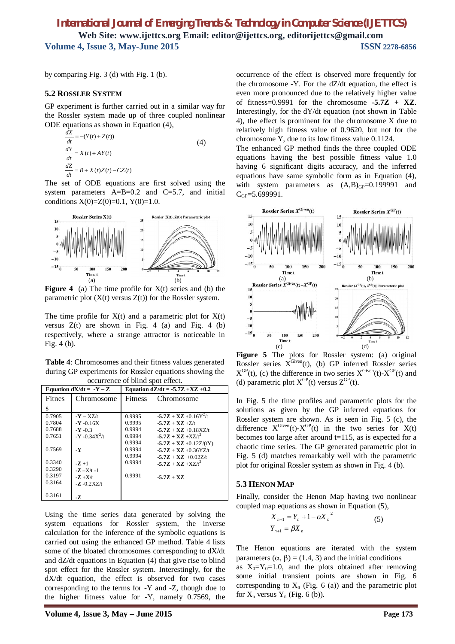by comparing Fig. 3 (d) with Fig. 1 (b).

#### **5.2 ROSSLER SYSTEM**

GP experiment is further carried out in a similar way for the Rossler system made up of three coupled nonlinear ODE equations as shown in Equation (4),

$$
\frac{dX}{dt} = -(Y(t) + Z(t))
$$
\n
$$
\frac{dY}{dt} = X(t) + AY(t)
$$
\n
$$
\frac{dZ}{dt} = B + X(t)Z(t) - CZ(t)
$$
\n(4)

The set of ODE equations are first solved using the system parameters  $A=B=0.2$  and  $C=5.7$ , and initial conditions  $X(0)=Z(0)=0.1$ ,  $Y(0)=1.0$ .



**Figure 4** (a) The time profile for  $X(t)$  series and (b) the parametric plot  $(X(t))$  versus  $Z(t)$  for the Rossler system.

The time profile for  $X(t)$  and a parametric plot for  $X(t)$ versus  $Z(t)$  are shown in Fig. 4 (a) and Fig. 4 (b) respectively, where a strange attractor is noticeable in Fig. 4 (b).

**Table 4**: Chromosomes and their fitness values generated during GP experiments for Rossler equations showing the occurrence of blind spot effect.

| Equation $dX/dt = -Y - Z$ |                        | Equation $dZ/dt = -5.7Z +XZ +0.2$ |                           |
|---------------------------|------------------------|-----------------------------------|---------------------------|
| <b>Fitnes</b>             | Chromosome             | <b>Fitness</b>                    | Chromosome                |
| s                         |                        |                                   |                           |
| 0.7905                    | $-Y - XZ/t$            | 0.9995                            | $-5.7Z + XZ + 0.16Y^2/t$  |
| 0.7804                    | $-$ <b>Y</b> $-$ 0.16X | 0.9995                            | $-5.7Z + XZ + Z/t$        |
| 0.7688                    | $-Y -0.3$              | 0.9994                            | $-5.7Z + XZ + 0.18XZ/t$   |
| 0.7651                    | $-Y - 0.34X^2/t$       | 0.9994                            | $-5.7Z + XZ + XZ/t^2$     |
|                           |                        | 0.9994                            | $-5.7Z + XZ + 0.12Z/(tY)$ |
| 0.7569                    | $\cdot$ Y              | 0.9994                            | $-5.7Z + XZ + 0.36YZ/t$   |
|                           |                        | 0.9994                            | $-5.7Z + XZ + 0.02Z/t$    |
| 0.3340                    | $-7 + 1$               | 0.9994                            | $-5.7Z + XZ + XZ/t^2$     |
| 0.3290                    | $-Z - X/t - 1$         |                                   |                           |
| 0.3197                    | $-Z + X/t$             | 0.9991                            | $-5.7Z + XZ$              |
| 0.3164                    | $-Z - 0.2XZ/t$         |                                   |                           |
| 0.3161                    | -7.                    |                                   |                           |

Using the time series data generated by solving the system equations for Rossler system, the inverse calculation for the inference of the symbolic equations is carried out using the enhanced GP method. Table 4 lists some of the bloated chromosomes corresponding to dX/dt and dZ/dt equations in Equation (4) that give rise to blind spot effect for the Rossler system. Interestingly, for the dX/dt equation, the effect is observed for two cases corresponding to the terms for -Y and -Z, though due to the higher fitness value for -Y, namely 0.7569, the occurrence of the effect is observed more frequently for the chromosome -Y. For the dZ/dt equation, the effect is even more pronounced due to the relatively higher value of fitness=0.9991 for the chromosome **-5.7Z + XZ**. Interestingly, for the dY/dt equation (not shown in Table 4), the effect is prominent for the chromosome X due to relatively high fitness value of 0.9620, but not for the chromosome Y, due to its low fitness value 0.1124.

The enhanced GP method finds the three coupled ODE equations having the best possible fitness value 1.0 having 6 significant digits accuracy, and the inferred equations have same symbolic form as in Equation (4), with system parameters as  $(A,B)_{GP}=0.199991$  and  $C_{GP} = 5.699991$ .



**Figure 5** The plots for Rossler system: (a) original Rossler series  $X^{\text{Given}}(t)$ , (b) GP inferred Rossler series  $X^{GP}(t)$ , (c) the difference in two series  $X^{Given}(t)$ - $X^{GP}(t)$  and (d) parametric plot  $X^{GP}(t)$  versus  $Z^{GP}(t)$ .

In Fig. 5 the time profiles and parametric plots for the solutions as given by the GP inferred equations for Rossler system are shown. As is seen in Fig. 5 (c), the difference  $X^{\text{Given}}(t) - X^{\text{GP}}(t)$  in the two series for  $X(t)$ becomes too large after around  $t=115$ , as is expected for a chaotic time series. The GP generated parametric plot in Fig. 5 (d) matches remarkably well with the parametric plot for original Rossler system as shown in Fig. 4 (b).

#### **5.3 HENON MAP**

Finally, consider the Henon Map having two nonlinear coupled map equations as shown in Equation (5),

$$
X_{n+1} = Y_n + 1 - \alpha X_n^2
$$
  
\n
$$
Y_{n+1} = \beta X_n
$$
\n(5)

The Henon equations are iterated with the system parameters  $(\alpha, \beta) = (1.4, 3)$  and the initial conditions as  $X_0 = Y_0 = 1.0$ , and the plots obtained after removing some initial transient points are shown in Fig. 6 corresponding to  $X_n$  (Fig. 6 (a)) and the parametric plot for  $X_n$  versus  $Y_n$  (Fig. 6 (b)).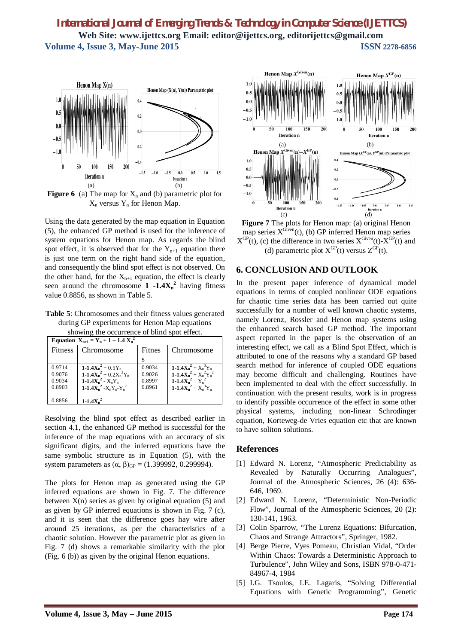

**Figure 6** (a) The map for  $X_n$  and (b) parametric plot for  $X_n$  versus  $Y_n$  for Henon Map.

Using the data generated by the map equation in Equation (5), the enhanced GP method is used for the inference of system equations for Henon map. As regards the blind spot effect, it is observed that for the  $Y_{n+1}$  equation there is just one term on the right hand side of the equation, and consequently the blind spot effect is not observed. On the other hand, for the  $X_{n+1}$  equation, the effect is clearly seen around the chromosome  $1 -1.4X_n^2$  having fitness value 0.8856, as shown in Table 5.

**Table 5**: Chromosomes and their fitness values generated during GP experiments for Henon Map equations showing the occurrence of blind spot effect.

| Equation $X_{n+1} = Y_n + 1 - 1.4 X_n^2$ |                                                                                       |                            |                                                                                  |
|------------------------------------------|---------------------------------------------------------------------------------------|----------------------------|----------------------------------------------------------------------------------|
| <b>Fitness</b>                           | Chromosome                                                                            | Fitnes                     | Chromosome                                                                       |
|                                          |                                                                                       |                            |                                                                                  |
| 0.9714<br>0.9076<br>0.9034               | $1 - 1.4X_n^2 + 0.5Y_n$<br>1-1.4 $X_n^2$ + 0.2 $X_n^2Y_n$<br>1-1.4 $X_n^2$ - $X_nY_n$ | 0.9034<br>0.9026<br>0.8997 | 1-1.4 $X_n^2 + X_n^3 Y_n$<br>1-1.4 $X_n^2 + X_n^2Y_n^2$<br>1-1.4 $X_n^2 + Y_n^2$ |
| 0.8903<br>0.8856                         | 1-1.4 $X_n^2 - X_n Y_n - Y_n^2$<br>$1 - 1.4Xn2$                                       | 0.8961                     | 1-1.4 $X_n^2 + X_n^3Y_n$                                                         |

Resolving the blind spot effect as described earlier in section 4.1, the enhanced GP method is successful for the inference of the map equations with an accuracy of six significant digits, and the inferred equations have the same symbolic structure as in Equation (5), with the system parameters as  $(\alpha, \beta)_{GP} = (1.399992, 0.299994)$ .

The plots for Henon map as generated using the GP inferred equations are shown in Fig. 7. The difference between  $X(n)$  series as given by original equation (5) and as given by GP inferred equations is shown in Fig. 7 (c), and it is seen that the difference goes hay wire after around 25 iterations, as per the characteristics of a chaotic solution. However the parametric plot as given in Fig. 7 (d) shows a remarkable similarity with the plot (Fig. 6 (b)) as given by the original Henon equations.



**Figure 7** The plots for Henon map: (a) original Henon map series  $X^{\text{Given}}(t)$ , (b) GP inferred Henon map series  $X^{GP}(t)$ , (c) the difference in two series  $X^{Given}(t)$ - $X^{GP}(t)$  and (d) parametric plot  $X^{GP}(t)$  versus  $Z^{GP}(t)$ .

## **6. CONCLUSION AND OUTLOOK**

In the present paper inference of dynamical model equations in terms of coupled nonlinear ODE equations for chaotic time series data has been carried out quite successfully for a number of well known chaotic systems, namely Lorenz, Rossler and Henon map systems using the enhanced search based GP method. The important aspect reported in the paper is the observation of an interesting effect, we call as a Blind Spot Effect, which is attributed to one of the reasons why a standard GP based search method for inference of coupled ODE equations may become difficult and challenging. Routines have been implemented to deal with the effect successfully. In continuation with the present results, work is in progress to identify possible occurrence of the effect in some other physical systems, including non-linear Schrodinger equation, Korteweg-de Vries equation etc that are known to have soliton solutions.

#### **References**

- [1] Edward N. Lorenz, "Atmospheric Predictability as Revealed by Naturally Occurring Analogues", Journal of the Atmospheric Sciences, 26 (4): 636- 646, 1969.
- [2] Edward N. Lorenz, "Deterministic Non-Periodic Flow", Journal of the Atmospheric Sciences, 20 (2): 130-141, 1963.
- [3] Colin Sparrow, "The Lorenz Equations: Bifurcation, Chaos and Strange Attractors", Springer, 1982.
- [4] Berge Pierre, Vyes Pomeau, Christian Vidal, "Order Within Chaos: Towards a Deterministic Approach to Turbulence", John Wiley and Sons, ISBN 978-0-471- 84967-4, 1984
- [5] I.G. Tsoulos, I.E. Lagaris, "Solving Differential Equations with Genetic Programming", Genetic